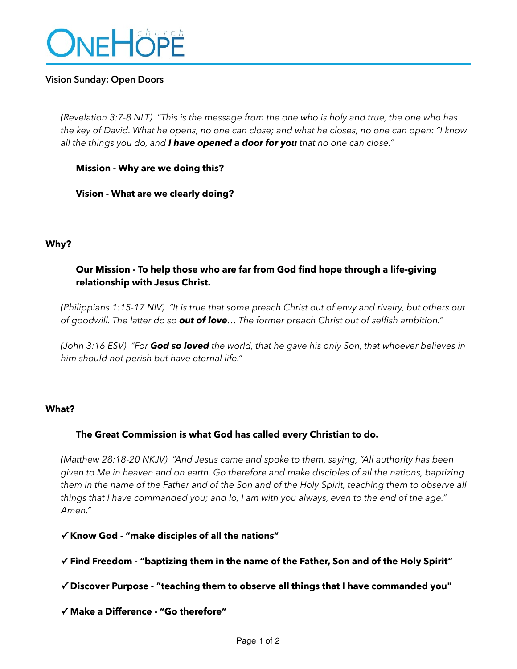

#### **Vision Sunday: Open Doors**

*(Revelation 3:7-8 NLT) "This is the message from the one who is holy and true, the one who has the key of David. What he opens, no one can close; and what he closes, no one can open: "I know all the things you do, and I have opened a door for you that no one can close."* 

#### **Mission - Why are we doing this?**

**Vision - What are we clearly doing?**

#### **Why?**

# **Our Mission - To help those who are far from God find hope through a life-giving relationship with Jesus Christ.**

*(Philippians 1:15-17 NIV) "It is true that some preach Christ out of envy and rivalry, but others out of goodwill. The latter do so out of love… The former preach Christ out of selfish ambition."* 

*(John 3:16 ESV) "For God so loved the world, that he gave his only Son, that whoever believes in him should not perish but have eternal life."* 

#### **What?**

## **The Great Commission is what God has called every Christian to do.**

*(Matthew 28:18-20 NKJV) "And Jesus came and spoke to them, saying, "All authority has been given to Me in heaven and on earth. Go therefore and make disciples of all the nations, baptizing them in the name of the Father and of the Son and of the Holy Spirit, teaching them to observe all things that I have commanded you; and lo, I am with you always, even to the end of the age." Amen."* 

#### **✓ Know God - "make disciples of all the nations"**

## **✓ Find Freedom - "baptizing them in the name of the Father, Son and of the Holy Spirit"**

**✓ Discover Purpose - "teaching them to observe all things that I have commanded you"** 

**✓ Make a Difference - "Go therefore"**